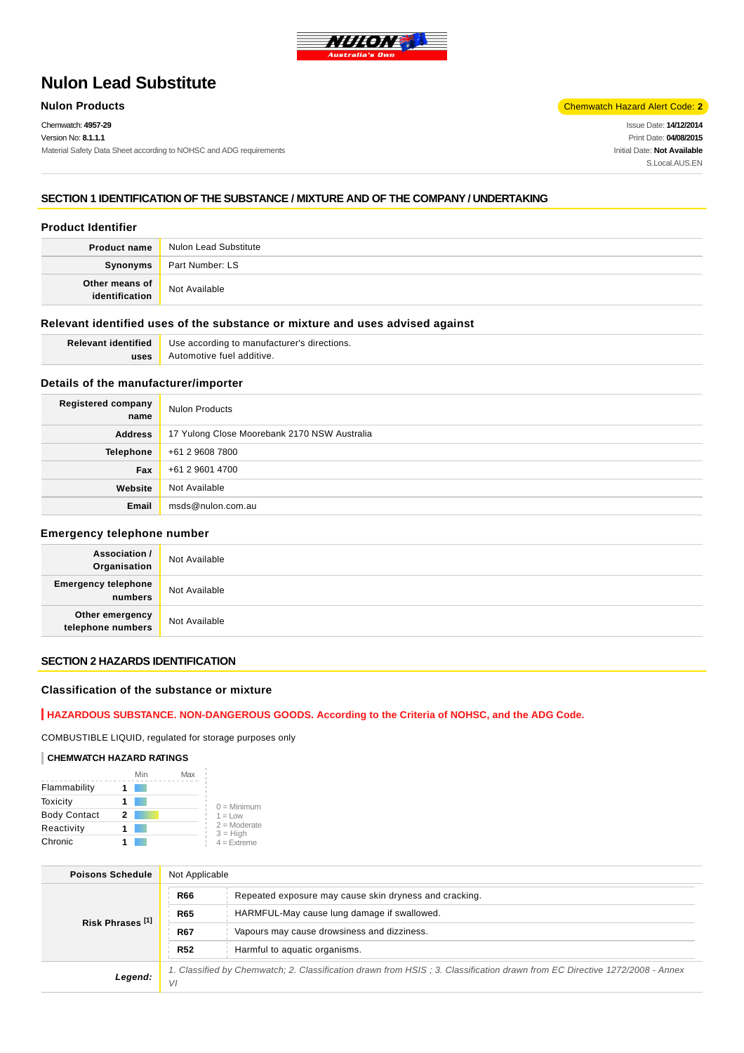

# **Nulon Lead Substitute**

Chemwatch: **4957-29**

#### Version No: **8.1.1.1**

Material Safety Data Sheet according to NOHSC and ADG requirements

**Nulon Products** Chemwatch Hazard Alert Code: **2** 

Issue Date: **14/12/2014** Print Date: **04/08/2015** Initial Date: **Not Available** S.Local AUS FN

## **SECTION 1 IDENTIFICATION OF THE SUBSTANCE / MIXTURE AND OF THE COMPANY / UNDERTAKING**

## **Product Identifier**

|                | Product name Nulon Lead Substitute |
|----------------|------------------------------------|
|                | Synonyms Part Number: LS           |
| Other means of | Not Available                      |

## **Relevant identified uses of the substance or mixture and uses advised against**

| <b>Relevant identified</b> | Use according to manufacturer's directions. |  |
|----------------------------|---------------------------------------------|--|
| uses                       | Automotive fuel additive.                   |  |

## **Details of the manufacturer/importer**

| Registered company<br>name | <b>Nulon Products</b>                        |
|----------------------------|----------------------------------------------|
| <b>Address</b>             | 17 Yulong Close Moorebank 2170 NSW Australia |
| <b>Telephone</b>           | +61 2 9608 7800                              |
| Fax                        | +61 2 9601 4700                              |
| Website                    | Not Available                                |
| Email                      | msds@nulon.com.au                            |

#### **Emergency telephone number**

| <b>Association /</b><br>Organisation  | Not Available |
|---------------------------------------|---------------|
| <b>Emergency telephone</b><br>numbers | Not Available |
| Other emergency<br>telephone numbers  | Not Available |

## **SECTION 2 HAZARDS IDENTIFICATION**

## **Classification of the substance or mixture**

## **HAZARDOUS SUBSTANCE. NON-DANGEROUS GOODS. According to the Criteria of NOHSC, and the ADG Code.**

COMBUSTIBLE LIQUID, regulated for storage purposes only

#### **CHEMWATCH HAZARD RATINGS**

|                     | Min | Max |                              |
|---------------------|-----|-----|------------------------------|
| Flammability        |     |     |                              |
| Toxicity            |     |     | $0 =$ Minimum                |
| <b>Body Contact</b> | 2   |     | $1 = Low$                    |
| Reactivity          |     |     | $2 =$ Moderate<br>$3 = High$ |
| Chronic             |     |     | $4 =$ Extreme                |

| <b>Poisons Schedule</b>     | Not Applicable                                                                                                                   |  |
|-----------------------------|----------------------------------------------------------------------------------------------------------------------------------|--|
| Risk Phrases <sup>[1]</sup> | <b>R66</b><br>Repeated exposure may cause skin dryness and cracking.                                                             |  |
|                             | <b>R65</b><br>HARMFUL-May cause lung damage if swallowed.                                                                        |  |
|                             | <b>R67</b><br>Vapours may cause drowsiness and dizziness.                                                                        |  |
|                             | <b>R52</b><br>Harmful to aquatic organisms.                                                                                      |  |
| Legend:                     | 1. Classified by Chemwatch; 2. Classification drawn from HSIS; 3. Classification drawn from EC Directive 1272/2008 - Annex<br>VI |  |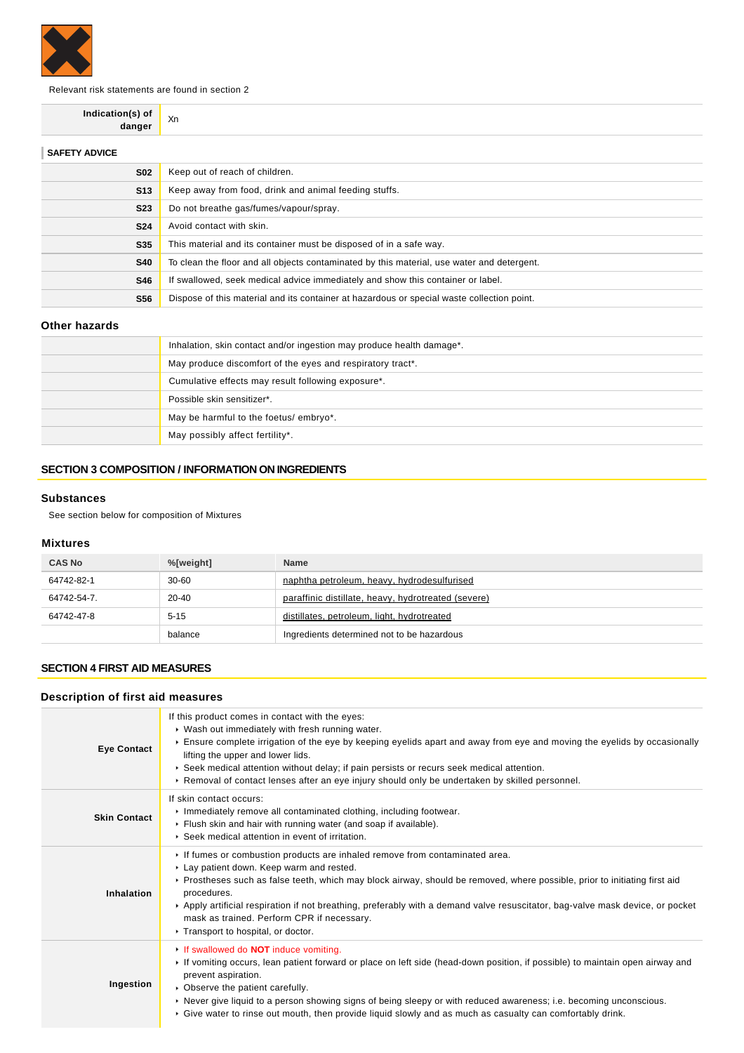

Relevant risk statements are found in section 2

**Indication(s) of danger** Xn

| Keep out of reach of children.                                                             |
|--------------------------------------------------------------------------------------------|
| Keep away from food, drink and animal feeding stuffs.                                      |
| Do not breathe gas/fumes/vapour/spray.                                                     |
| Avoid contact with skin.                                                                   |
| This material and its container must be disposed of in a safe way.                         |
| To clean the floor and all objects contaminated by this material, use water and detergent. |
| If swallowed, seek medical advice immediately and show this container or label.            |
| Dispose of this material and its container at hazardous or special waste collection point. |
|                                                                                            |

## **Other hazards**

| Inhalation, skin contact and/or ingestion may produce health damage*. |
|-----------------------------------------------------------------------|
| May produce discomfort of the eyes and respiratory tract*.            |
| Cumulative effects may result following exposure*.                    |
| Possible skin sensitizer*.                                            |
| May be harmful to the foetus/embryo*.                                 |
| May possibly affect fertility*.                                       |

## **SECTION 3 COMPOSITION / INFORMATION ON INGREDIENTS**

## **Substances**

See section below for composition of Mixtures

## **Mixtures**

| <b>CAS No</b> | %[weight] | <b>Name</b>                                         |
|---------------|-----------|-----------------------------------------------------|
| 64742-82-1    | 30-60     | naphtha petroleum, heavy, hydrodesulfurised         |
| 64742-54-7.   | $20 - 40$ | paraffinic distillate, heavy, hydrotreated (severe) |
| 64742-47-8    | $5 - 15$  | distillates, petroleum, light, hydrotreated         |
|               | balance   | Ingredients determined not to be hazardous          |

## **SECTION 4 FIRST AID MEASURES**

## **Description of first aid measures**

| <b>Eye Contact</b>  | If this product comes in contact with the eyes:<br>▶ Wash out immediately with fresh running water.<br>Ensure complete irrigation of the eye by keeping eyelids apart and away from eye and moving the eyelids by occasionally<br>lifting the upper and lower lids.<br>▶ Seek medical attention without delay; if pain persists or recurs seek medical attention.<br>► Removal of contact lenses after an eye injury should only be undertaken by skilled personnel.                    |
|---------------------|-----------------------------------------------------------------------------------------------------------------------------------------------------------------------------------------------------------------------------------------------------------------------------------------------------------------------------------------------------------------------------------------------------------------------------------------------------------------------------------------|
| <b>Skin Contact</b> | If skin contact occurs:<br>Inmediately remove all contaminated clothing, including footwear.<br>Flush skin and hair with running water (and soap if available).<br>▶ Seek medical attention in event of irritation.                                                                                                                                                                                                                                                                     |
| <b>Inhalation</b>   | If fumes or combustion products are inhaled remove from contaminated area.<br>Lay patient down. Keep warm and rested.<br>▶ Prostheses such as false teeth, which may block airway, should be removed, where possible, prior to initiating first aid<br>procedures.<br>▶ Apply artificial respiration if not breathing, preferably with a demand valve resuscitator, bag-valve mask device, or pocket<br>mask as trained. Perform CPR if necessary.<br>Transport to hospital, or doctor. |
| Ingestion           | If swallowed do <b>NOT</b> induce vomiting.<br>If vomiting occurs, lean patient forward or place on left side (head-down position, if possible) to maintain open airway and<br>prevent aspiration.<br>• Observe the patient carefully.<br>▶ Never give liquid to a person showing signs of being sleepy or with reduced awareness; i.e. becoming unconscious.<br>► Give water to rinse out mouth, then provide liquid slowly and as much as casualty can comfortably drink.             |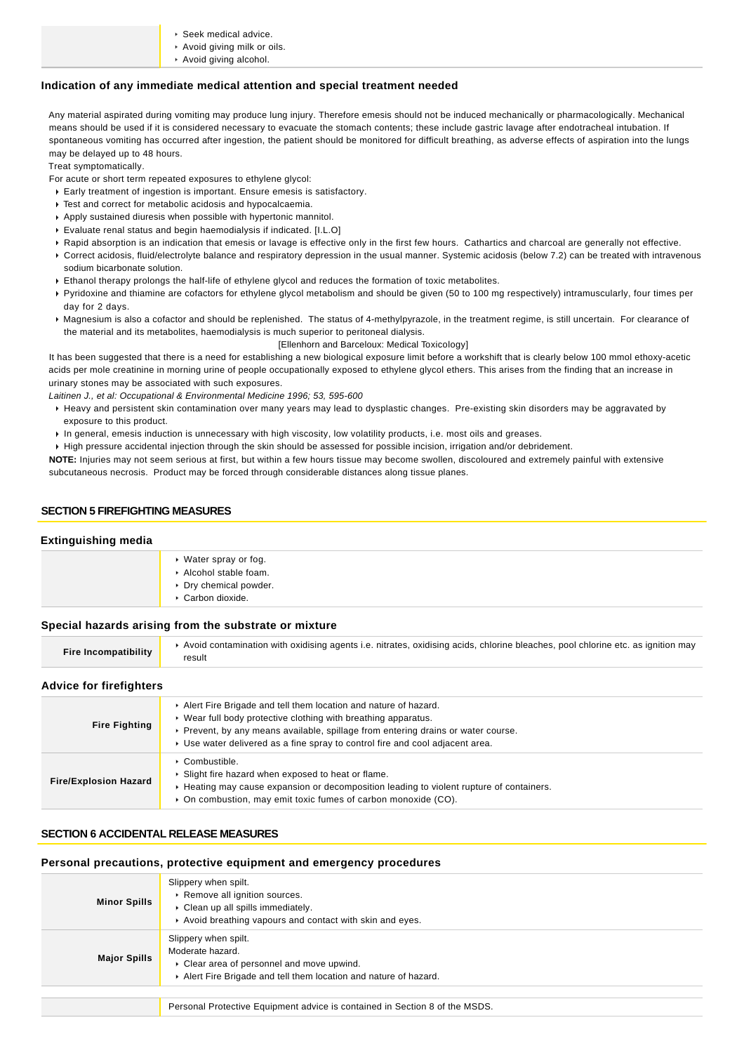- Seek medical advice.
- Avoid giving milk or oils.
- Avoid giving alcohol.

#### **Indication of any immediate medical attention and special treatment needed**

Any material aspirated during vomiting may produce lung injury. Therefore emesis should not be induced mechanically or pharmacologically. Mechanical means should be used if it is considered necessary to evacuate the stomach contents; these include gastric lavage after endotracheal intubation. If spontaneous vomiting has occurred after ingestion, the patient should be monitored for difficult breathing, as adverse effects of aspiration into the lungs may be delayed up to 48 hours.

Treat symptomatically.

For acute or short term repeated exposures to ethylene glycol:

- Early treatment of ingestion is important. Ensure emesis is satisfactory.
- Test and correct for metabolic acidosis and hypocalcaemia.
- Apply sustained diuresis when possible with hypertonic mannitol.
- Evaluate renal status and begin haemodialysis if indicated. [I.L.O]
- ▶ Rapid absorption is an indication that emesis or lavage is effective only in the first few hours. Cathartics and charcoal are generally not effective. Correct acidosis, fluid/electrolyte balance and respiratory depression in the usual manner. Systemic acidosis (below 7.2) can be treated with intravenous
- sodium bicarbonate solution.
- Ethanol therapy prolongs the half-life of ethylene glycol and reduces the formation of toxic metabolites.
- Pyridoxine and thiamine are cofactors for ethylene glycol metabolism and should be given (50 to 100 mg respectively) intramuscularly, four times per day for 2 days.
- Magnesium is also a cofactor and should be replenished. The status of 4-methylpyrazole, in the treatment regime, is still uncertain. For clearance of the material and its metabolites, haemodialysis is much superior to peritoneal dialysis.

[Ellenhorn and Barceloux: Medical Toxicology]

It has been suggested that there is a need for establishing a new biological exposure limit before a workshift that is clearly below 100 mmol ethoxy-acetic acids per mole creatinine in morning urine of people occupationally exposed to ethylene glycol ethers. This arises from the finding that an increase in urinary stones may be associated with such exposures.

Laitinen J., et al: Occupational & Environmental Medicine 1996; 53, 595-600

- Heavy and persistent skin contamination over many years may lead to dysplastic changes. Pre-existing skin disorders may be aggravated by exposure to this product.
- In general, emesis induction is unnecessary with high viscosity, low volatility products, i.e. most oils and greases.
- High pressure accidental injection through the skin should be assessed for possible incision, irrigation and/or debridement.

**NOTE:** Injuries may not seem serious at first, but within a few hours tissue may become swollen, discoloured and extremely painful with extensive subcutaneous necrosis. Product may be forced through considerable distances along tissue planes.

## **SECTION 5 FIREFIGHTING MEASURES**

#### **Extinguishing media**

|        | ▸ Water spray or fog.<br>Alcohol stable foam.<br>▶ Dry chemical powder.<br>▶ Carbon dioxide. |
|--------|----------------------------------------------------------------------------------------------|
| ______ |                                                                                              |

#### **Special hazards arising from the substrate or mixture**

| <b>Fire Incompatibility</b> | ▶ Avoid contamination with oxidising agents i.e. nitrates, oxidising acids, chlorine bleaches, pool chlorine etc. as ignition may<br>result |
|-----------------------------|---------------------------------------------------------------------------------------------------------------------------------------------|
|-----------------------------|---------------------------------------------------------------------------------------------------------------------------------------------|

#### **Advice for firefighters**

| <b>Fire Fighting</b>         | Alert Fire Brigade and tell them location and nature of hazard.<br>► Wear full body protective clothing with breathing apparatus.<br>► Prevent, by any means available, spillage from entering drains or water course.<br>► Use water delivered as a fine spray to control fire and cool adjacent area. |
|------------------------------|---------------------------------------------------------------------------------------------------------------------------------------------------------------------------------------------------------------------------------------------------------------------------------------------------------|
| <b>Fire/Explosion Hazard</b> | ▶ Combustible.<br>▶ Slight fire hazard when exposed to heat or flame.<br>► Heating may cause expansion or decomposition leading to violent rupture of containers.<br>• On combustion, may emit toxic fumes of carbon monoxide (CO).                                                                     |

## **SECTION 6 ACCIDENTAL RELEASE MEASURES**

#### **Personal precautions, protective equipment and emergency procedures**

| <b>Minor Spills</b> | Slippery when spilt.<br>▶ Remove all ignition sources.<br>Clean up all spills immediately.<br>Avoid breathing vapours and contact with skin and eyes.   |
|---------------------|---------------------------------------------------------------------------------------------------------------------------------------------------------|
| <b>Major Spills</b> | Slippery when spilt.<br>Moderate hazard.<br>Clear area of personnel and move upwind.<br>Alert Fire Brigade and tell them location and nature of hazard. |
|                     |                                                                                                                                                         |
|                     | Personal Protective Equipment advice is contained in Section 8 of the MSDS.                                                                             |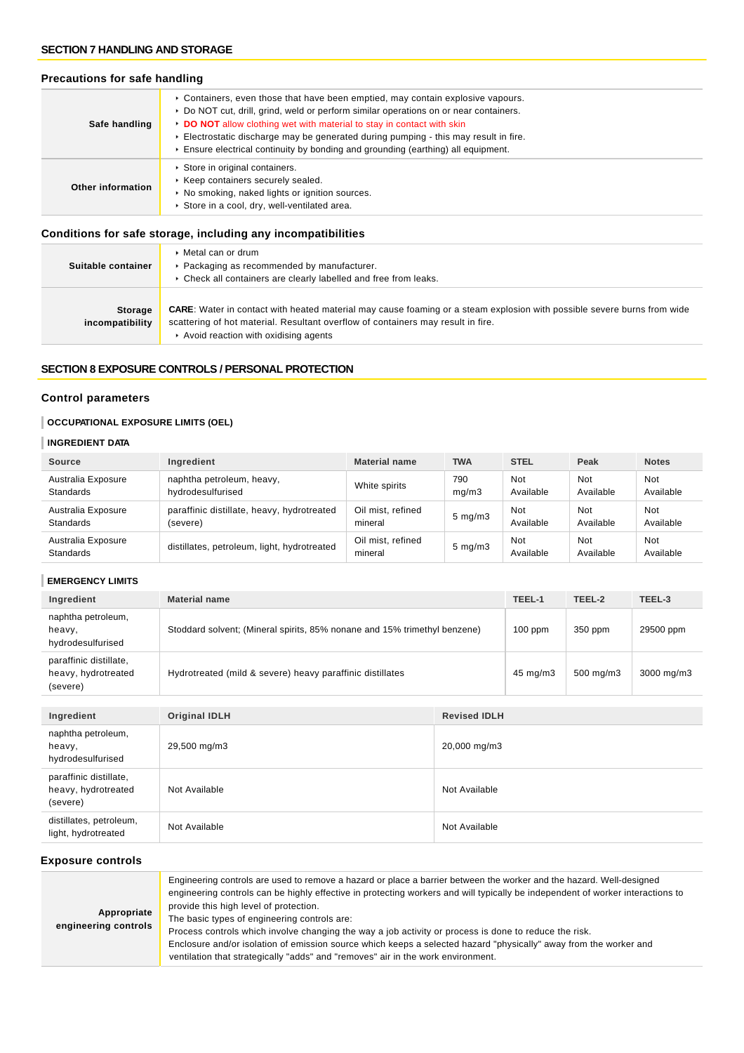## **SECTION 7 HANDLING AND STORAGE**

## **Precautions for safe handling**

| Safe handling     | ► Containers, even those that have been emptied, may contain explosive vapours.<br>▶ Do NOT cut, drill, grind, weld or perform similar operations on or near containers.<br>DO NOT allow clothing wet with material to stay in contact with skin<br>Electrostatic discharge may be generated during pumping - this may result in fire.<br>$\triangleright$ Ensure electrical continuity by bonding and grounding (earthing) all equipment. |
|-------------------|--------------------------------------------------------------------------------------------------------------------------------------------------------------------------------------------------------------------------------------------------------------------------------------------------------------------------------------------------------------------------------------------------------------------------------------------|
| Other information | Store in original containers.<br>▶ Keep containers securely sealed.<br>▶ No smoking, naked lights or ignition sources.<br>Store in a cool, dry, well-ventilated area.                                                                                                                                                                                                                                                                      |

## **Conditions for safe storage, including any incompatibilities**

| Suitable container                | $\triangleright$ Metal can or drum<br>▶ Packaging as recommended by manufacturer.<br>▶ Check all containers are clearly labelled and free from leaks.                                                                                                      |
|-----------------------------------|------------------------------------------------------------------------------------------------------------------------------------------------------------------------------------------------------------------------------------------------------------|
| <b>Storage</b><br>incompatibility | <b>CARE:</b> Water in contact with heated material may cause foaming or a steam explosion with possible severe burns from wide<br>scattering of hot material. Resultant overflow of containers may result in fire.<br>Avoid reaction with oxidising agents |

## **SECTION 8 EXPOSURE CONTROLS / PERSONAL PROTECTION**

## **Control parameters**

## **OCCUPATIONAL EXPOSURE LIMITS (OEL)**

## **INGREDIENT DATA**

| <b>Source</b>                   | Ingredient                                  | <b>Material name</b>         | <b>TWA</b>         | <b>STEL</b>      | Peak             | <b>Notes</b>     |
|---------------------------------|---------------------------------------------|------------------------------|--------------------|------------------|------------------|------------------|
| Australia Exposure              | naphtha petroleum, heavy,                   | White spirits                | 790                | Not              | Not              | Not              |
| <b>Standards</b>                | hydrodesulfurised                           |                              | mq/m3              | Available        | Available        | Available        |
| Australia Exposure              | paraffinic distillate, heavy, hydrotreated  | Oil mist, refined            | $5 \text{ mg/m}$ 3 | Not              | Not              | Not              |
| <b>Standards</b>                | (severe)                                    | mineral                      |                    | Available        | Available        | Available        |
| Australia Exposure<br>Standards | distillates, petroleum, light, hydrotreated | Oil mist, refined<br>mineral | $5 \text{ mg/m}$   | Not<br>Available | Not<br>Available | Not<br>Available |

## **EMERGENCY LIMITS**

| Ingredient                                                | <b>Material name</b>                                                      |                     | TEEL-1              | TEEL-2               | TEEL-3     |
|-----------------------------------------------------------|---------------------------------------------------------------------------|---------------------|---------------------|----------------------|------------|
| naphtha petroleum,<br>heavy,<br>hydrodesulfurised         | Stoddard solvent; (Mineral spirits, 85% nonane and 15% trimethyl benzene) |                     | $100$ ppm           | 350 ppm              | 29500 ppm  |
| paraffinic distillate,<br>heavy, hydrotreated<br>(severe) | Hydrotreated (mild & severe) heavy paraffinic distillates                 |                     | $45 \text{ mg/m}$ 3 | $500 \text{ mg/m}$ 3 | 3000 mg/m3 |
|                                                           |                                                                           |                     |                     |                      |            |
| Ingredient                                                | <b>Original IDLH</b>                                                      | <b>Revised IDLH</b> |                     |                      |            |

| $$ , we will will be a set of $\sim$                      |               |               |
|-----------------------------------------------------------|---------------|---------------|
| naphtha petroleum,<br>heavy,<br>hydrodesulfurised         | 29,500 mg/m3  | 20,000 mg/m3  |
| paraffinic distillate,<br>heavy, hydrotreated<br>(severe) | Not Available | Not Available |
| distillates, petroleum,<br>light, hydrotreated            | Not Available | Not Available |

## **Exposure controls**

| Appropriate<br>engineering controls | Engineering controls are used to remove a hazard or place a barrier between the worker and the hazard. Well-designed<br>engineering controls can be highly effective in protecting workers and will typically be independent of worker interactions to<br>provide this high level of protection.<br>The basic types of engineering controls are:<br>Process controls which involve changing the way a job activity or process is done to reduce the risk.<br>Enclosure and/or isolation of emission source which keeps a selected hazard "physically" away from the worker and<br>ventilation that strategically "adds" and "removes" air in the work environment. |
|-------------------------------------|--------------------------------------------------------------------------------------------------------------------------------------------------------------------------------------------------------------------------------------------------------------------------------------------------------------------------------------------------------------------------------------------------------------------------------------------------------------------------------------------------------------------------------------------------------------------------------------------------------------------------------------------------------------------|
|-------------------------------------|--------------------------------------------------------------------------------------------------------------------------------------------------------------------------------------------------------------------------------------------------------------------------------------------------------------------------------------------------------------------------------------------------------------------------------------------------------------------------------------------------------------------------------------------------------------------------------------------------------------------------------------------------------------------|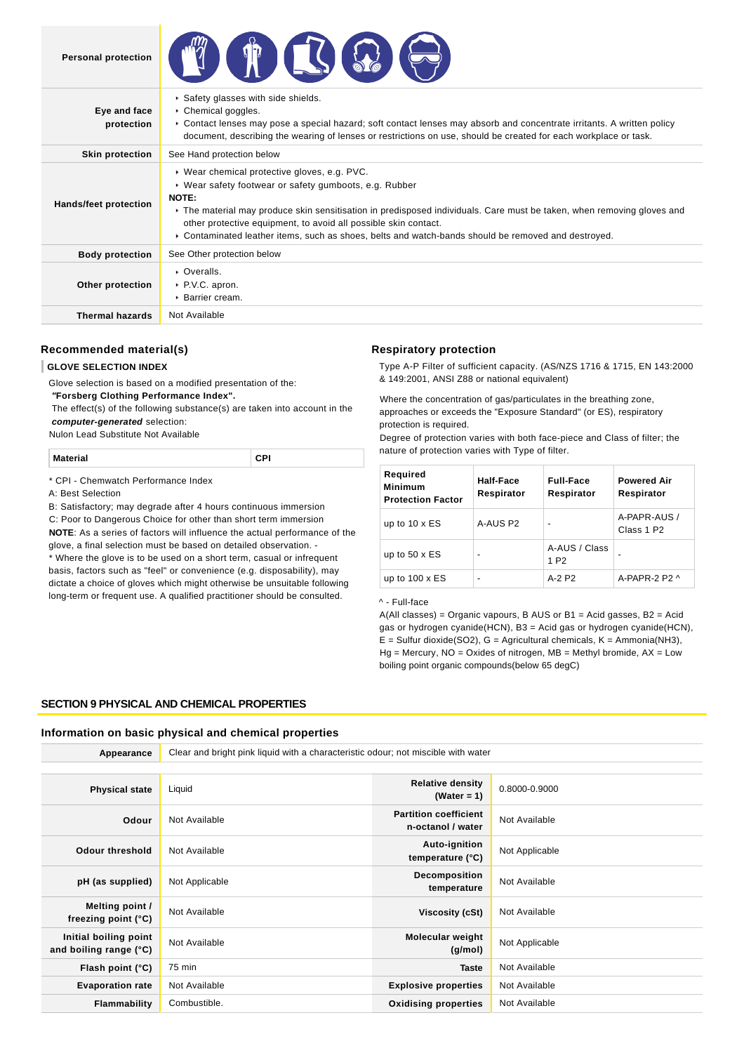| <b>Personal protection</b> |                                                                                                                                                                                                                                                                                                                                                                                                                     |
|----------------------------|---------------------------------------------------------------------------------------------------------------------------------------------------------------------------------------------------------------------------------------------------------------------------------------------------------------------------------------------------------------------------------------------------------------------|
| Eye and face<br>protection | Safety glasses with side shields.<br>$\triangleright$ Chemical goggles.<br>► Contact lenses may pose a special hazard; soft contact lenses may absorb and concentrate irritants. A written policy<br>document, describing the wearing of lenses or restrictions on use, should be created for each workplace or task.                                                                                               |
| <b>Skin protection</b>     | See Hand protection below                                                                                                                                                                                                                                                                                                                                                                                           |
| Hands/feet protection      | ▶ Wear chemical protective gloves, e.g. PVC.<br>• Wear safety footwear or safety gumboots, e.g. Rubber<br>NOTE:<br>► The material may produce skin sensitisation in predisposed individuals. Care must be taken, when removing gloves and<br>other protective equipment, to avoid all possible skin contact.<br>► Contaminated leather items, such as shoes, belts and watch-bands should be removed and destroyed. |
| <b>Body protection</b>     | See Other protection below                                                                                                                                                                                                                                                                                                                                                                                          |
| Other protection           | • Overalls.<br>▶ P.V.C. apron.<br>$\triangleright$ Barrier cream.                                                                                                                                                                                                                                                                                                                                                   |
| <b>Thermal hazards</b>     | Not Available                                                                                                                                                                                                                                                                                                                                                                                                       |

## **Recommended material(s)**

## **GLOVE SELECTION INDEX**

Glove selection is based on a modified presentation of the:

 **"Forsberg Clothing Performance Index".**

 The effect(s) of the following substance(s) are taken into account in the **computer-generated** selection:

Nulon Lead Substitute Not Available

**Material CPI**

\* CPI - Chemwatch Performance Index

A: Best Selection

B: Satisfactory; may degrade after 4 hours continuous immersion

C: Poor to Dangerous Choice for other than short term immersion

**NOTE**: As a series of factors will influence the actual performance of the glove, a final selection must be based on detailed observation. -

\* Where the glove is to be used on a short term, casual or infrequent basis, factors such as "feel" or convenience (e.g. disposability), may dictate a choice of gloves which might otherwise be unsuitable following long-term or frequent use. A qualified practitioner should be consulted.

#### **Respiratory protection**

Type A-P Filter of sufficient capacity. (AS/NZS 1716 & 1715, EN 143:2000 & 149:2001, ANSI Z88 or national equivalent)

Where the concentration of gas/particulates in the breathing zone, approaches or exceeds the "Exposure Standard" (or ES), respiratory protection is required.

Degree of protection varies with both face-piece and Class of filter; the nature of protection varies with Type of filter.

| Required<br><b>Minimum</b><br><b>Protection Factor</b> | Half-Face<br>Respirator  | <b>Full-Face</b><br>Respirator    | <b>Powered Air</b><br>Respirator       |
|--------------------------------------------------------|--------------------------|-----------------------------------|----------------------------------------|
| up to $10 \times ES$                                   | A-AUS P2                 | $\overline{\phantom{a}}$          | A-PAPR-AUS /<br>Class 1 P <sub>2</sub> |
| up to $50 \times ES$                                   | $\overline{\phantom{0}}$ | A-AUS / Class<br>1 P <sub>2</sub> |                                        |
| up to $100 \times ES$                                  |                          | $A-2$ P <sub>2</sub>              | A-PAPR-2 P2 $\land$                    |

#### ^ - Full-face

 $A(AII$  classes) = Organic vapours, B AUS or B1 = Acid gasses, B2 = Acid gas or hydrogen cyanide(HCN), B3 = Acid gas or hydrogen cyanide(HCN),  $E =$  Sulfur dioxide(SO2), G = Agricultural chemicals, K = Ammonia(NH3),  $Hg =$  Mercury, NO = Oxides of nitrogen, MB = Methyl bromide, AX = Low boiling point organic compounds(below 65 degC)

## **SECTION 9 PHYSICAL AND CHEMICAL PROPERTIES**

## **Information on basic physical and chemical properties**

| Appearance                                      | Clear and bright pink liquid with a characteristic odour; not miscible with water |                                                   |                |  |
|-------------------------------------------------|-----------------------------------------------------------------------------------|---------------------------------------------------|----------------|--|
|                                                 |                                                                                   |                                                   |                |  |
| <b>Physical state</b>                           | Liquid                                                                            | <b>Relative density</b><br>(Water = $1$ )         | 0.8000-0.9000  |  |
| Odour                                           | Not Available                                                                     | <b>Partition coefficient</b><br>n-octanol / water | Not Available  |  |
| Odour threshold                                 | Not Available                                                                     | Auto-ignition<br>temperature (°C)                 | Not Applicable |  |
| pH (as supplied)                                | Not Applicable                                                                    | Decomposition<br>temperature                      | Not Available  |  |
| Melting point /<br>freezing point $(°C)$        | Not Available                                                                     | Viscosity (cSt)                                   | Not Available  |  |
| Initial boiling point<br>and boiling range (°C) | Not Available                                                                     | <b>Molecular weight</b><br>(g/mol)                | Not Applicable |  |
| Flash point (°C)                                | 75 min                                                                            | <b>Taste</b>                                      | Not Available  |  |
| <b>Evaporation rate</b>                         | Not Available                                                                     | <b>Explosive properties</b>                       | Not Available  |  |
| Flammability                                    | Combustible.                                                                      | <b>Oxidising properties</b>                       | Not Available  |  |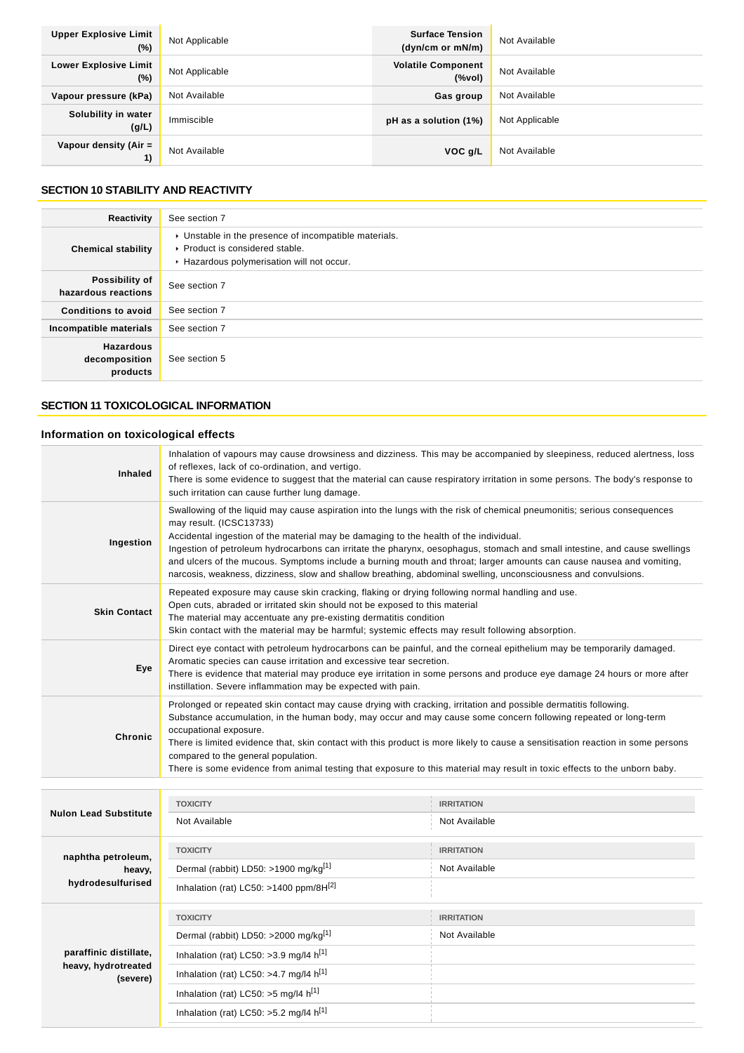| <b>Upper Explosive Limit</b><br>$(\%)$ | Not Applicable | <b>Surface Tension</b><br>(dyn/cm or mN/m) | Not Available  |
|----------------------------------------|----------------|--------------------------------------------|----------------|
| <b>Lower Explosive Limit</b><br>$(\%)$ | Not Applicable | <b>Volatile Component</b><br>(%            | Not Available  |
| Vapour pressure (kPa)                  | Not Available  | Gas group                                  | Not Available  |
| Solubility in water<br>(g/L)           | Immiscible     | pH as a solution (1%)                      | Not Applicable |
| Vapour density (Air $=$<br>1)          | Not Available  | VOC g/L                                    | Not Available  |

## **SECTION 10 STABILITY AND REACTIVITY**

| Reactivity                                    | See section 7                                                                                                                        |
|-----------------------------------------------|--------------------------------------------------------------------------------------------------------------------------------------|
| <b>Chemical stability</b>                     | • Unstable in the presence of incompatible materials.<br>▶ Product is considered stable.<br>Hazardous polymerisation will not occur. |
| Possibility of<br>hazardous reactions         | See section 7                                                                                                                        |
| <b>Conditions to avoid</b>                    | See section 7                                                                                                                        |
| Incompatible materials                        | See section 7                                                                                                                        |
| <b>Hazardous</b><br>decomposition<br>products | See section 5                                                                                                                        |

## **SECTION 11 TOXICOLOGICAL INFORMATION**

## **Information on toxicological effects**

**paraffinic distillate, heavy, hydrotreated**

**(severe)**

Inhalation (rat) LC50: >3.9 mg/l4  $h^{[1]}$ Inhalation (rat) LC50: >4.7 mg/l4  $h^{[1]}$ Inhalation (rat) LC50:  $>5$  mg/l4  $h^{[1]}$ Inhalation (rat) LC50:  $>5.2$  mg/l4  $h^{[1]}$ 

| <b>Inhaled</b>                                    | Inhalation of vapours may cause drowsiness and dizziness. This may be accompanied by sleepiness, reduced alertness, loss<br>of reflexes, lack of co-ordination, and vertigo.<br>There is some evidence to suggest that the material can cause respiratory irritation in some persons. The body's response to<br>such irritation can cause further lung damage.                                                                                                                                                                                                                                                        |                                    |  |
|---------------------------------------------------|-----------------------------------------------------------------------------------------------------------------------------------------------------------------------------------------------------------------------------------------------------------------------------------------------------------------------------------------------------------------------------------------------------------------------------------------------------------------------------------------------------------------------------------------------------------------------------------------------------------------------|------------------------------------|--|
| Ingestion                                         | Swallowing of the liquid may cause aspiration into the lungs with the risk of chemical pneumonitis; serious consequences<br>may result. (ICSC13733)<br>Accidental ingestion of the material may be damaging to the health of the individual.<br>Ingestion of petroleum hydrocarbons can irritate the pharynx, oesophagus, stomach and small intestine, and cause swellings<br>and ulcers of the mucous. Symptoms include a burning mouth and throat; larger amounts can cause nausea and vomiting,<br>narcosis, weakness, dizziness, slow and shallow breathing, abdominal swelling, unconsciousness and convulsions. |                                    |  |
| <b>Skin Contact</b>                               | Repeated exposure may cause skin cracking, flaking or drying following normal handling and use.<br>Open cuts, abraded or irritated skin should not be exposed to this material<br>The material may accentuate any pre-existing dermatitis condition<br>Skin contact with the material may be harmful; systemic effects may result following absorption.                                                                                                                                                                                                                                                               |                                    |  |
| Eye                                               | Direct eye contact with petroleum hydrocarbons can be painful, and the corneal epithelium may be temporarily damaged.<br>Aromatic species can cause irritation and excessive tear secretion.<br>There is evidence that material may produce eye irritation in some persons and produce eye damage 24 hours or more after<br>instillation. Severe inflammation may be expected with pain.                                                                                                                                                                                                                              |                                    |  |
| <b>Chronic</b>                                    | Prolonged or repeated skin contact may cause drying with cracking, irritation and possible dermatitis following.<br>Substance accumulation, in the human body, may occur and may cause some concern following repeated or long-term<br>occupational exposure.<br>There is limited evidence that, skin contact with this product is more likely to cause a sensitisation reaction in some persons<br>compared to the general population.<br>There is some evidence from animal testing that exposure to this material may result in toxic effects to the unborn baby.                                                  |                                    |  |
|                                                   | <b>TOXICITY</b>                                                                                                                                                                                                                                                                                                                                                                                                                                                                                                                                                                                                       | <b>IRRITATION</b>                  |  |
| <b>Nulon Lead Substitute</b>                      | Not Available                                                                                                                                                                                                                                                                                                                                                                                                                                                                                                                                                                                                         | Not Available                      |  |
| naphtha petroleum,<br>heavy,<br>hydrodesulfurised | <b>TOXICITY</b><br>Dermal (rabbit) LD50: >1900 mg/kg <sup>[1]</sup><br>Inhalation (rat) LC50: >1400 ppm/8H $^{[2]}$                                                                                                                                                                                                                                                                                                                                                                                                                                                                                                   | <b>IRRITATION</b><br>Not Available |  |
|                                                   | <b>TOXICITY</b><br>Dermal (rabbit) LD50: >2000 mg/kg[1]                                                                                                                                                                                                                                                                                                                                                                                                                                                                                                                                                               | <b>IRRITATION</b><br>Not Available |  |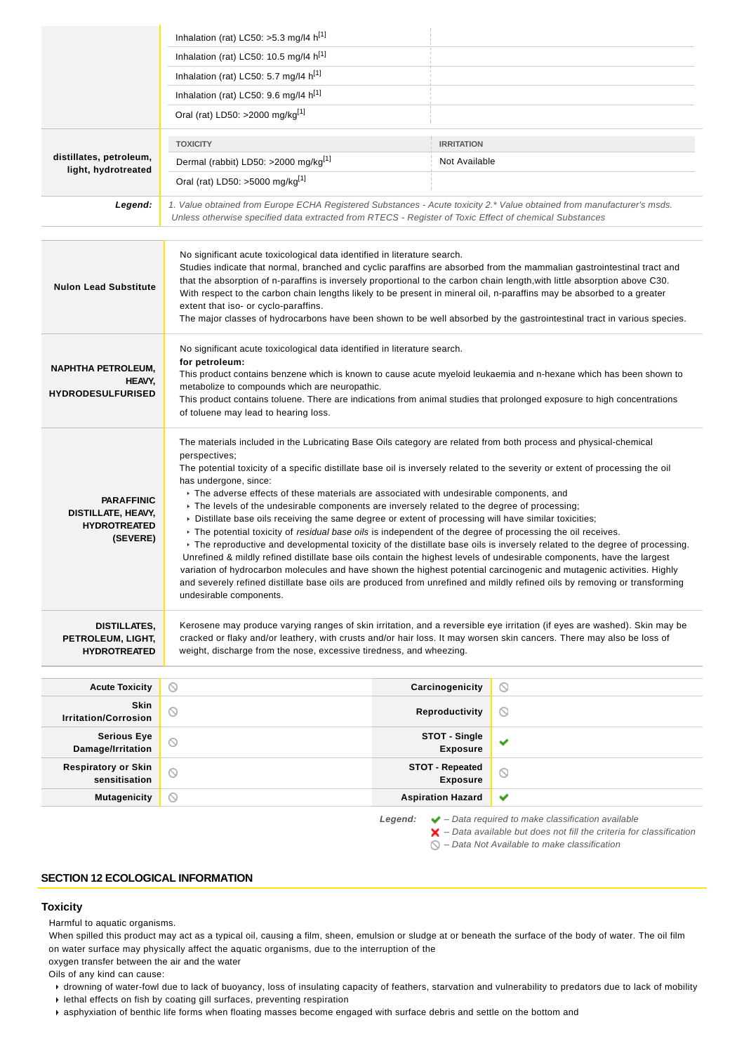|                                                                            | Inhalation (rat) LC50: >5.3 mg/l4 h[1]                                                                                                                                                                                                                                                                                                                                                                                                                                                                                                                                                                                                                                                                                                                                                                                                                                                                                                                                                                                                                                                                                                                                                                                                                           |                                           |                |
|----------------------------------------------------------------------------|------------------------------------------------------------------------------------------------------------------------------------------------------------------------------------------------------------------------------------------------------------------------------------------------------------------------------------------------------------------------------------------------------------------------------------------------------------------------------------------------------------------------------------------------------------------------------------------------------------------------------------------------------------------------------------------------------------------------------------------------------------------------------------------------------------------------------------------------------------------------------------------------------------------------------------------------------------------------------------------------------------------------------------------------------------------------------------------------------------------------------------------------------------------------------------------------------------------------------------------------------------------|-------------------------------------------|----------------|
|                                                                            | Inhalation (rat) LC50: 10.5 mg/l4 h <sup>[1]</sup>                                                                                                                                                                                                                                                                                                                                                                                                                                                                                                                                                                                                                                                                                                                                                                                                                                                                                                                                                                                                                                                                                                                                                                                                               |                                           |                |
|                                                                            | Inhalation (rat) LC50: 5.7 mg/l4 $h^{[1]}$                                                                                                                                                                                                                                                                                                                                                                                                                                                                                                                                                                                                                                                                                                                                                                                                                                                                                                                                                                                                                                                                                                                                                                                                                       |                                           |                |
|                                                                            | Inhalation (rat) LC50: 9.6 mg/l4 h <sup>[1]</sup>                                                                                                                                                                                                                                                                                                                                                                                                                                                                                                                                                                                                                                                                                                                                                                                                                                                                                                                                                                                                                                                                                                                                                                                                                |                                           |                |
|                                                                            | Oral (rat) LD50: >2000 mg/kg <sup>[1]</sup>                                                                                                                                                                                                                                                                                                                                                                                                                                                                                                                                                                                                                                                                                                                                                                                                                                                                                                                                                                                                                                                                                                                                                                                                                      |                                           |                |
|                                                                            | <b>TOXICITY</b>                                                                                                                                                                                                                                                                                                                                                                                                                                                                                                                                                                                                                                                                                                                                                                                                                                                                                                                                                                                                                                                                                                                                                                                                                                                  | <b>IRRITATION</b>                         |                |
| distillates, petroleum,<br>light, hydrotreated                             | Dermal (rabbit) LD50: >2000 mg/kg <sup>[1]</sup>                                                                                                                                                                                                                                                                                                                                                                                                                                                                                                                                                                                                                                                                                                                                                                                                                                                                                                                                                                                                                                                                                                                                                                                                                 | Not Available                             |                |
|                                                                            | Oral (rat) LD50: >5000 mg/kg[1]                                                                                                                                                                                                                                                                                                                                                                                                                                                                                                                                                                                                                                                                                                                                                                                                                                                                                                                                                                                                                                                                                                                                                                                                                                  |                                           |                |
| Legend:                                                                    | 1. Value obtained from Europe ECHA Registered Substances - Acute toxicity 2.* Value obtained from manufacturer's msds.<br>Unless otherwise specified data extracted from RTECS - Register of Toxic Effect of chemical Substances                                                                                                                                                                                                                                                                                                                                                                                                                                                                                                                                                                                                                                                                                                                                                                                                                                                                                                                                                                                                                                 |                                           |                |
| <b>Nulon Lead Substitute</b>                                               | No significant acute toxicological data identified in literature search.<br>Studies indicate that normal, branched and cyclic paraffins are absorbed from the mammalian gastrointestinal tract and<br>that the absorption of n-paraffins is inversely proportional to the carbon chain length, with little absorption above C30.<br>With respect to the carbon chain lengths likely to be present in mineral oil, n-paraffins may be absorbed to a greater<br>extent that iso- or cyclo-paraffins.<br>The major classes of hydrocarbons have been shown to be well absorbed by the gastrointestinal tract in various species.                                                                                                                                                                                                                                                                                                                                                                                                                                                                                                                                                                                                                                    |                                           |                |
| <b>NAPHTHA PETROLEUM,</b><br>HEAVY.<br><b>HYDRODESULFURISED</b>            | No significant acute toxicological data identified in literature search.<br>for petroleum:<br>This product contains benzene which is known to cause acute myeloid leukaemia and n-hexane which has been shown to<br>metabolize to compounds which are neuropathic.<br>This product contains toluene. There are indications from animal studies that prolonged exposure to high concentrations<br>of toluene may lead to hearing loss.                                                                                                                                                                                                                                                                                                                                                                                                                                                                                                                                                                                                                                                                                                                                                                                                                            |                                           |                |
| <b>PARAFFINIC</b><br>DISTILLATE, HEAVY,<br><b>HYDROTREATED</b><br>(SEVERE) | The materials included in the Lubricating Base Oils category are related from both process and physical-chemical<br>perspectives;<br>The potential toxicity of a specific distillate base oil is inversely related to the severity or extent of processing the oil<br>has undergone, since:<br>The adverse effects of these materials are associated with undesirable components, and<br>► The levels of the undesirable components are inversely related to the degree of processing;<br>> Distillate base oils receiving the same degree or extent of processing will have similar toxicities;<br>▶ The potential toxicity of <i>residual base oils</i> is independent of the degree of processing the oil receives.<br>• The reproductive and developmental toxicity of the distillate base oils is inversely related to the degree of processing.<br>Unrefined & mildly refined distillate base oils contain the highest levels of undesirable components, have the largest<br>variation of hydrocarbon molecules and have shown the highest potential carcinogenic and mutagenic activities. Highly<br>and severely refined distillate base oils are produced from unrefined and mildly refined oils by removing or transforming<br>undesirable components. |                                           |                |
| <b>DISTILLATES,</b><br>PETROLEUM, LIGHT,<br><b>HYDROTREATED</b>            | Kerosene may produce varying ranges of skin irritation, and a reversible eye irritation (if eyes are washed). Skin may be<br>cracked or flaky and/or leathery, with crusts and/or hair loss. It may worsen skin cancers. There may also be loss of<br>weight, discharge from the nose, excessive tiredness, and wheezing.                                                                                                                                                                                                                                                                                                                                                                                                                                                                                                                                                                                                                                                                                                                                                                                                                                                                                                                                        |                                           |                |
| <b>Acute Toxicity</b>                                                      | $\circledcirc$                                                                                                                                                                                                                                                                                                                                                                                                                                                                                                                                                                                                                                                                                                                                                                                                                                                                                                                                                                                                                                                                                                                                                                                                                                                   | Carcinogenicity                           | $\circledcirc$ |
| Skin<br><b>Irritation/Corrosion</b>                                        | $\circledcirc$                                                                                                                                                                                                                                                                                                                                                                                                                                                                                                                                                                                                                                                                                                                                                                                                                                                                                                                                                                                                                                                                                                                                                                                                                                                   | Reproductivity                            | ◎              |
| <b>Serious Eye</b><br>Damage/Irritation                                    | $\circledcirc$                                                                                                                                                                                                                                                                                                                                                                                                                                                                                                                                                                                                                                                                                                                                                                                                                                                                                                                                                                                                                                                                                                                                                                                                                                                   | STOT - Single<br><b>Exposure</b>          | ✔              |
| <b>Respiratory or Skin</b><br>sensitisation                                | $\circledcirc$                                                                                                                                                                                                                                                                                                                                                                                                                                                                                                                                                                                                                                                                                                                                                                                                                                                                                                                                                                                                                                                                                                                                                                                                                                                   | <b>STOT - Repeated</b><br><b>Exposure</b> | $\circledcirc$ |
|                                                                            |                                                                                                                                                                                                                                                                                                                                                                                                                                                                                                                                                                                                                                                                                                                                                                                                                                                                                                                                                                                                                                                                                                                                                                                                                                                                  |                                           |                |

Data available but does not fill the criteria  $\bigotimes$  – Data Not Available to make classification

## **SECTION 12 ECOLOGICAL INFORMATION**

## **Toxicity**

Harmful to aquatic organisms.

When spilled this product may act as a typical oil, causing a film, sheen, emulsion or sludge at or beneath the surface of the body of water. The oil film on water surface may physically affect the aquatic organisms, due to the interruption of the

oxygen transfer between the air and the water

Oils of any kind can cause:

- drowning of water-fowl due to lack of buoyancy, loss of insulating capacity of feathers, starvation and vulnerability to predators due to lack of mobility  $\blacktriangleright$  lethal effects on fish by coating gill surfaces, preventing respiration
- asphyxiation of benthic life forms when floating masses become engaged with surface debris and settle on the bottom and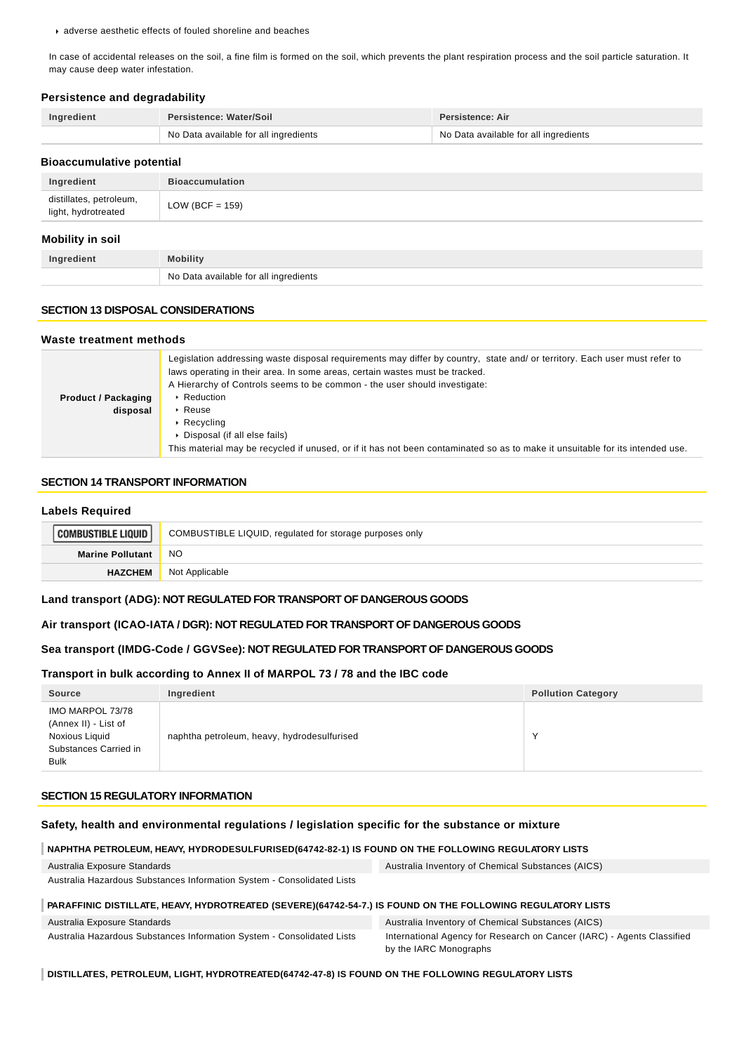adverse aesthetic effects of fouled shoreline and beaches

In case of accidental releases on the soil, a fine film is formed on the soil, which prevents the plant respiration process and the soil particle saturation. It may cause deep water infestation.

#### **Persistence and degradability**

| Ingredient | Persistence: Water/Soil               | Persistence: Air                      |
|------------|---------------------------------------|---------------------------------------|
|            | No Data available for all ingredients | No Data available for all ingredients |

## **Bioaccumulative potential**

| Ingredient                                     | <b>Bioaccumulation</b> |
|------------------------------------------------|------------------------|
| distillates, petroleum,<br>light, hydrotreated | LOW (BCF = $159$ )     |
| Mobility in soil                               |                        |

#### **Mobility in soil**

| <b>redient</b> | Mobility                              |
|----------------|---------------------------------------|
|                | No Data available for all ingredients |

## **SECTION 13 DISPOSAL CONSIDERATIONS**

#### **Waste treatment methods**

|                            | Legislation addressing waste disposal requirements may differ by country, state and/ or territory. Each user must refer to    |  |  |
|----------------------------|-------------------------------------------------------------------------------------------------------------------------------|--|--|
|                            | laws operating in their area. In some areas, certain wastes must be tracked.                                                  |  |  |
|                            | A Hierarchy of Controls seems to be common - the user should investigate:                                                     |  |  |
| <b>Product / Packaging</b> | $\triangleright$ Reduction                                                                                                    |  |  |
| disposal                   | $\cdot$ Reuse                                                                                                                 |  |  |
|                            | $\triangleright$ Recycling                                                                                                    |  |  |
|                            | Disposal (if all else fails)                                                                                                  |  |  |
|                            | This material may be recycled if unused, or if it has not been contaminated so as to make it unsuitable for its intended use. |  |  |

## **SECTION 14 TRANSPORT INFORMATION**

#### **Labels Required**

| <b>COMBUSTIBLE LIQUID I.</b> | COMBUSTIBLE LIQUID, regulated for storage purposes only |
|------------------------------|---------------------------------------------------------|
| <b>Marine Pollutant</b>      | <b>NO</b>                                               |
| <b>HAZCHEM</b>               | Not Applicable                                          |

#### **Land transport (ADG): NOT REGULATED FOR TRANSPORT OF DANGEROUS GOODS**

#### **Air transport (ICAO-IATA / DGR): NOT REGULATED FOR TRANSPORT OF DANGEROUS GOODS**

## **Sea transport (IMDG-Code / GGVSee): NOT REGULATED FOR TRANSPORT OF DANGEROUS GOODS**

#### **Transport in bulk according to Annex II of MARPOL 73 / 78 and the IBC code**

| Source                                                                                             | Ingredient                                  | <b>Pollution Category</b> |
|----------------------------------------------------------------------------------------------------|---------------------------------------------|---------------------------|
| IMO MARPOL 73/78<br>(Annex II) - List of<br>Noxious Liquid<br>Substances Carried in<br><b>Bulk</b> | naphtha petroleum, heavy, hydrodesulfurised |                           |

#### **SECTION 15 REGULATORY INFORMATION**

#### **Safety, health and environmental regulations / legislation specific for the substance or mixture**

#### **NAPHTHA PETROLEUM, HEAVY, HYDRODESULFURISED(64742-82-1) IS FOUND ON THE FOLLOWING REGULATORY LISTS**

| Australia Exposure Standards                                           | Australia Inventory of Chemical Substances (AICS) |
|------------------------------------------------------------------------|---------------------------------------------------|
| Australia Hazardous Substances Information System - Consolidated Lists |                                                   |

#### **PARAFFINIC DISTILLATE, HEAVY, HYDROTREATED (SEVERE)(64742-54-7.) IS FOUND ON THE FOLLOWING REGULATORY LISTS**

| Australia Exposure Standards                                           | Australia Inventory of Chemical Substances (AICS)                      |
|------------------------------------------------------------------------|------------------------------------------------------------------------|
| Australia Hazardous Substances Information System - Consolidated Lists | International Agency for Research on Cancer (IARC) - Agents Classified |
|                                                                        | by the IARC Monographs                                                 |

**DISTILLATES, PETROLEUM, LIGHT, HYDROTREATED(64742-47-8) IS FOUND ON THE FOLLOWING REGULATORY LISTS**